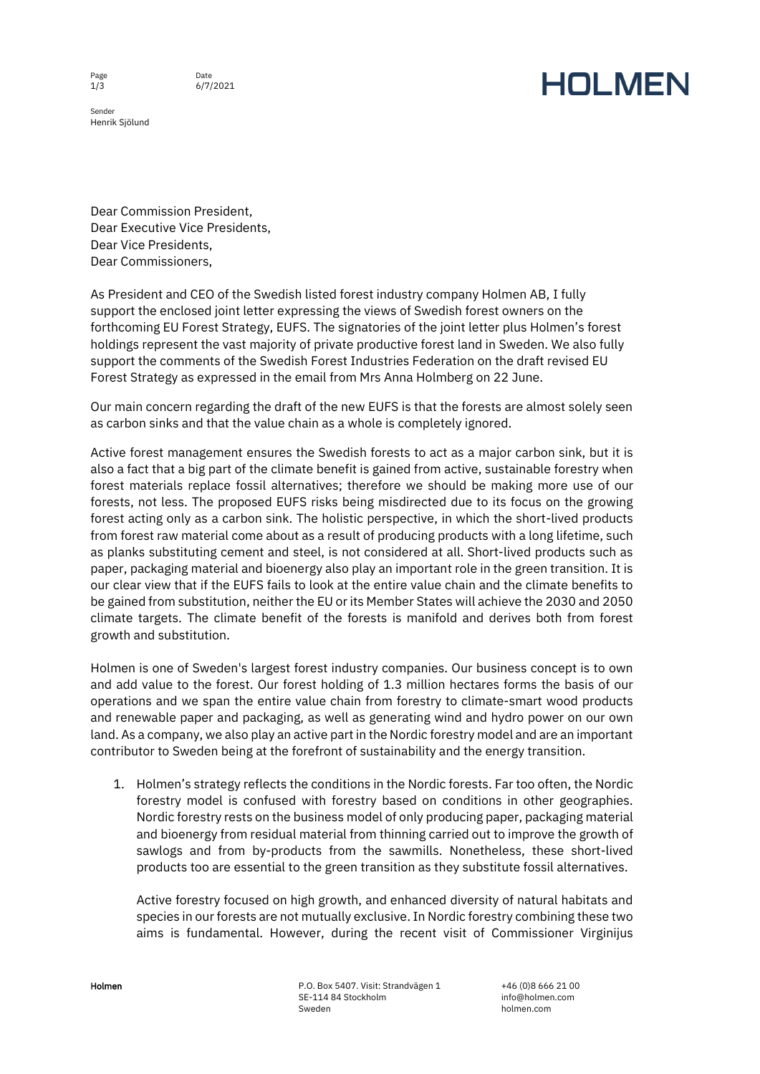Page  $1/3$ 

Sender Henrik Sjölund

## **HOLMEN**

Dear Commission President, Dear Executive Vice Presidents, Dear Vice Presidents, Dear Commissioners,

As President and CEO of the Swedish listed forest industry company Holmen AB, I fully support the enclosed joint letter expressing the views of Swedish forest owners on the forthcoming EU Forest Strategy, EUFS. The signatories of the joint letter plus Holmen's forest holdings represent the vast majority of private productive forest land in Sweden. We also fully support the comments of the Swedish Forest Industries Federation on the draft revised EU Forest Strategy as expressed in the email from Mrs Anna Holmberg on 22 June.

Our main concern regarding the draft of the new EUFS is that the forests are almost solely seen as carbon sinks and that the value chain as a whole is completely ignored.

Active forest management ensures the Swedish forests to act as a major carbon sink, but it is also a fact that a big part of the climate benefit is gained from active, sustainable forestry when forest materials replace fossil alternatives; therefore we should be making more use of our forests, not less. The proposed EUFS risks being misdirected due to its focus on the growing forest acting only as a carbon sink. The holistic perspective, in which the short-lived products from forest raw material come about as a result of producing products with a long lifetime, such as planks substituting cement and steel, is not considered at all. Short-lived products such as paper, packaging material and bioenergy also play an important role in the green transition. It is our clear view that if the EUFS fails to look at the entire value chain and the climate benefits to be gained from substitution, neither the EU or its Member States will achieve the 2030 and 2050 climate targets. The climate benefit of the forests is manifold and derives both from forest growth and substitution.

Holmen is one of Sweden's largest forest industry companies. Our business concept is to own and add value to the forest. Our forest holding of 1.3 million hectares forms the basis of our operations and we span the entire value chain from forestry to climate-smart wood products and renewable paper and packaging, as well as generating wind and hydro power on our own land. As a company, we also play an active part in the Nordic forestry model and are an important contributor to Sweden being at the forefront of sustainability and the energy transition.

1. Holmen's strategy reflects the conditions in the Nordic forests. Far too often, the Nordic forestry model is confused with forestry based on conditions in other geographies. Nordic forestry rests on the business model of only producing paper, packaging material and bioenergy from residual material from thinning carried out to improve the growth of sawlogs and from by-products from the sawmills. Nonetheless, these short-lived products too are essential to the green transition as they substitute fossil alternatives.

Active forestry focused on high growth, and enhanced diversity of natural habitats and species in our forests are not mutually exclusive. In Nordic forestry combining these two aims is fundamental. However, during the recent visit of Commissioner Virginijus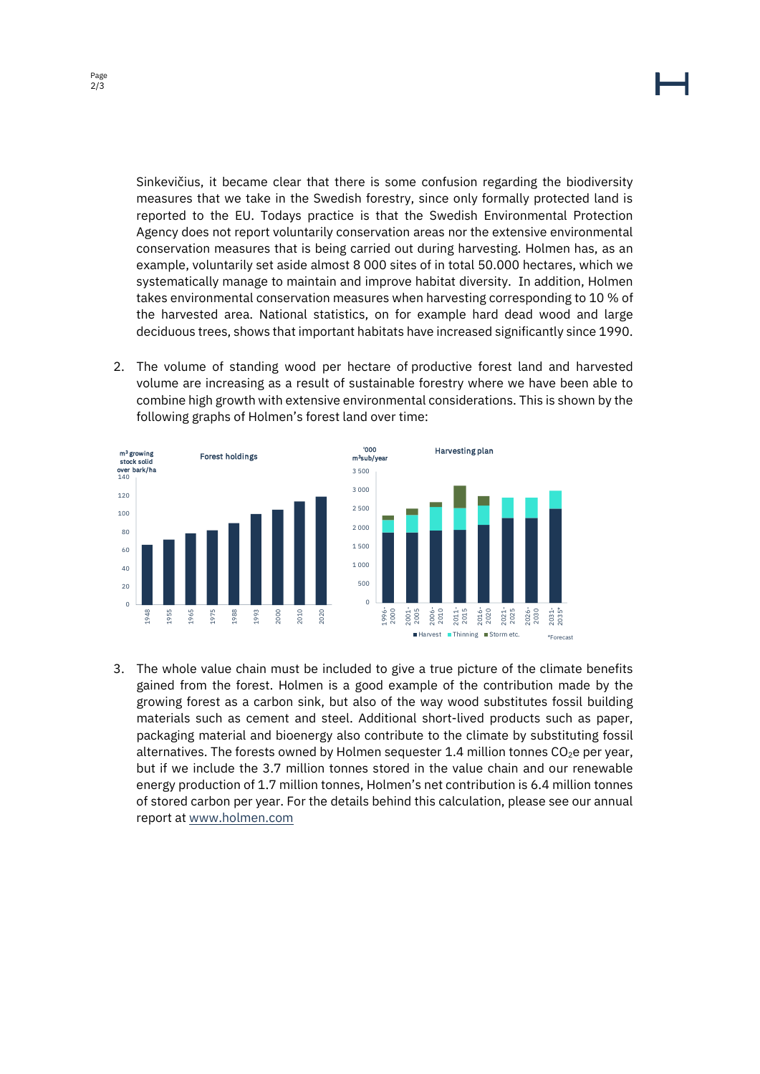Sinkevičius, it became clear that there is some confusion regarding the biodiversity measures that we take in the Swedish forestry, since only formally protected land is reported to the EU. Todays practice is that the Swedish Environmental Protection Agency does not report voluntarily conservation areas nor the extensive environmental conservation measures that is being carried out during harvesting. Holmen has, as an example, voluntarily set aside almost 8 000 sites of in total 50.000 hectares, which we systematically manage to maintain and improve habitat diversity. In addition, Holmen takes environmental conservation measures when harvesting corresponding to 10 % of the harvested area. National statistics, on for example hard dead wood and large deciduous trees, shows that important habitats have increased significantly since 1990.

2. The volume of standing wood per hectare of productive forest land and harvested volume are increasing as a result of sustainable forestry where we have been able to combine high growth with extensive environmental considerations. This is shown by the following graphs of Holmen's forest land over time:



3. The whole value chain must be included to give a true picture of the climate benefits gained from the forest. Holmen is a good example of the contribution made by the growing forest as a carbon sink, but also of the way wood substitutes fossil building materials such as cement and steel. Additional short-lived products such as paper, packaging material and bioenergy also contribute to the climate by substituting fossil alternatives. The forests owned by Holmen sequester 1.4 million tonnes  $CO<sub>2</sub>e$  per year, but if we include the 3.7 million tonnes stored in the value chain and our renewable energy production of 1.7 million tonnes, Holmen's net contribution is 6.4 million tonnes of stored carbon per year. For the details behind this calculation, please see our annual report at [www.holmen.com](http://www.holmen.com/)